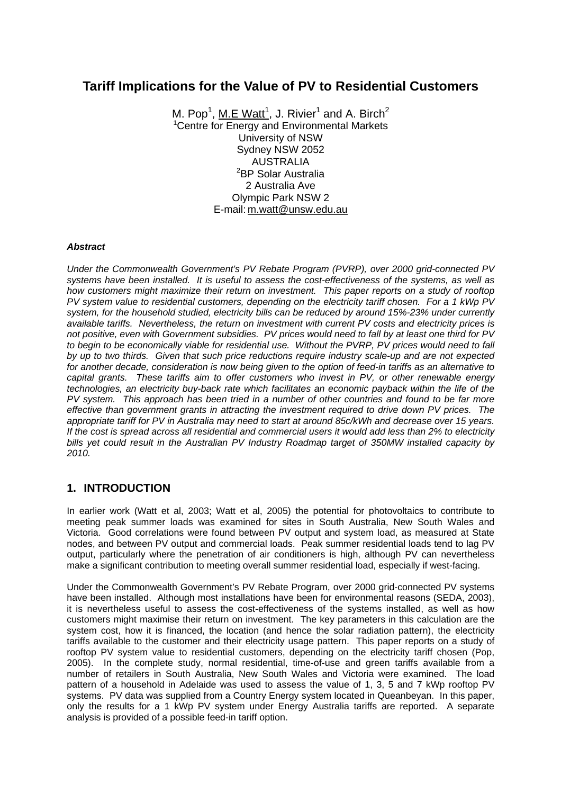# **Tariff Implications for the Value of PV to Residential Customers**

M. Pop<sup>1</sup>, <u>M.E Watt<sup>1</sup></u>, J. Rivier<sup>1</sup> and A. Birch<sup>2</sup> <sup>1</sup> Centre for Energy and Environmental Markets University of NSW Sydney NSW 2052 AUSTRALIA <sup>2</sup>BP Solar Australia 2 Australia Ave Olympic Park NSW 2 E-mail: [m.watt@unsw.edu.au](mailto:x.person@qut.edu.au) 

#### *Abstract*

*Under the Commonwealth Government's PV Rebate Program (PVRP), over 2000 grid-connected PV systems have been installed. It is useful to assess the cost-effectiveness of the systems, as well as how customers might maximize their return on investment. This paper reports on a study of rooftop PV system value to residential customers, depending on the electricity tariff chosen. For a 1 kWp PV system, for the household studied, electricity bills can be reduced by around 15%-23% under currently available tariffs. Nevertheless, the return on investment with current PV costs and electricity prices is not positive, even with Government subsidies. PV prices would need to fall by at least one third for PV to begin to be economically viable for residential use. Without the PVRP, PV prices would need to fall by up to two thirds. Given that such price reductions require industry scale-up and are not expected for another decade, consideration is now being given to the option of feed-in tariffs as an alternative to capital grants. These tariffs aim to offer customers who invest in PV, or other renewable energy technologies, an electricity buy-back rate which facilitates an economic payback within the life of the PV system. This approach has been tried in a number of other countries and found to be far more effective than government grants in attracting the investment required to drive down PV prices. The appropriate tariff for PV in Australia may need to start at around 85c/kWh and decrease over 15 years. If the cost is spread across all residential and commercial users it would add less than 2% to electricity bills yet could result in the Australian PV Industry Roadmap target of 350MW installed capacity by 2010.* 

### **1. INTRODUCTION**

In earlier work (Watt et al, 2003; Watt et al, 2005) the potential for photovoltaics to contribute to meeting peak summer loads was examined for sites in South Australia, New South Wales and Victoria. Good correlations were found between PV output and system load, as measured at State nodes, and between PV output and commercial loads. Peak summer residential loads tend to lag PV output, particularly where the penetration of air conditioners is high, although PV can nevertheless make a significant contribution to meeting overall summer residential load, especially if west-facing.

Under the Commonwealth Government's PV Rebate Program, over 2000 grid-connected PV systems have been installed. Although most installations have been for environmental reasons (SEDA, 2003), it is nevertheless useful to assess the cost-effectiveness of the systems installed, as well as how customers might maximise their return on investment. The key parameters in this calculation are the system cost, how it is financed, the location (and hence the solar radiation pattern), the electricity tariffs available to the customer and their electricity usage pattern. This paper reports on a study of rooftop PV system value to residential customers, depending on the electricity tariff chosen (Pop, 2005). In the complete study, normal residential, time-of-use and green tariffs available from a number of retailers in South Australia, New South Wales and Victoria were examined. The load pattern of a household in Adelaide was used to assess the value of 1, 3, 5 and 7 kWp rooftop PV systems. PV data was supplied from a Country Energy system located in Queanbeyan. In this paper, only the results for a 1 kWp PV system under Energy Australia tariffs are reported. A separate analysis is provided of a possible feed-in tariff option.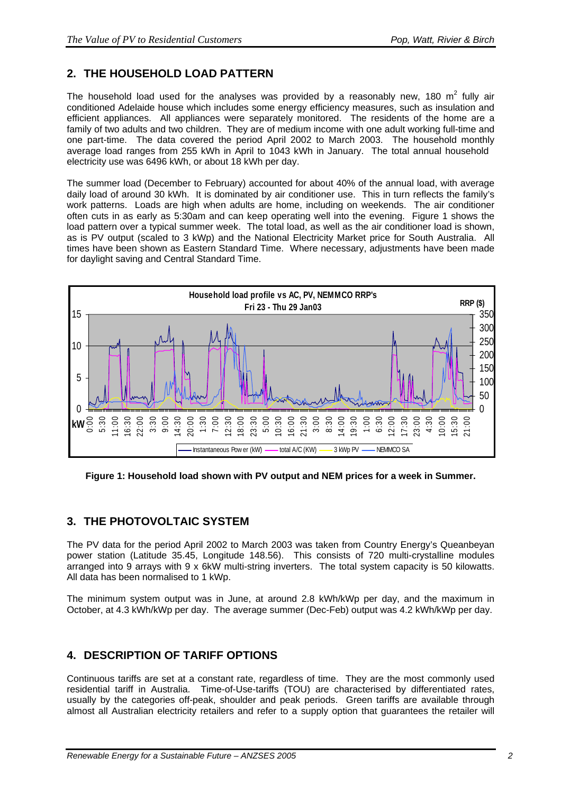# **2. THE HOUSEHOLD LOAD PATTERN**

The household load used for the analyses was provided by a reasonably new, 180  $m^2$  fully air conditioned Adelaide house which includes some energy efficiency measures, such as insulation and efficient appliances. All appliances were separately monitored. The residents of the home are a family of two adults and two children. They are of medium income with one adult working full-time and one part-time. The data covered the period April 2002 to March 2003. The household monthly average load ranges from 255 kWh in April to 1043 kWh in January. The total annual household electricity use was 6496 kWh, or about 18 kWh per day.

The summer load (December to February) accounted for about 40% of the annual load, with average daily load of around 30 kWh. It is dominated by air conditioner use. This in turn reflects the family's work patterns. Loads are high when adults are home, including on weekends. The air conditioner often cuts in as early as 5:30am and can keep operating well into the evening. Figure 1 shows the load pattern over a typical summer week. The total load, as well as the air conditioner load is shown, as is PV output (scaled to 3 kWp) and the National Electricity Market price for South Australia. All times have been shown as Eastern Standard Time. Where necessary, adjustments have been made for daylight saving and Central Standard Time.



**Figure 1: Household load shown with PV output and NEM prices for a week in Summer.** 

## **3. THE PHOTOVOLTAIC SYSTEM**

The PV data for the period April 2002 to March 2003 was taken from Country Energy's Queanbeyan power station (Latitude 35.45, Longitude 148.56). This consists of 720 multi-crystalline modules arranged into 9 arrays with 9 x 6kW multi-string inverters. The total system capacity is 50 kilowatts. All data has been normalised to 1 kWp.

The minimum system output was in June, at around 2.8 kWh/kWp per day, and the maximum in October, at 4.3 kWh/kWp per day. The average summer (Dec-Feb) output was 4.2 kWh/kWp per day.

### **4. DESCRIPTION OF TARIFF OPTIONS**

Continuous tariffs are set at a constant rate, regardless of time. They are the most commonly used residential tariff in Australia. Time-of-Use-tariffs (TOU) are characterised by differentiated rates, usually by the categories off-peak, shoulder and peak periods. Green tariffs are available through almost all Australian electricity retailers and refer to a supply option that guarantees the retailer will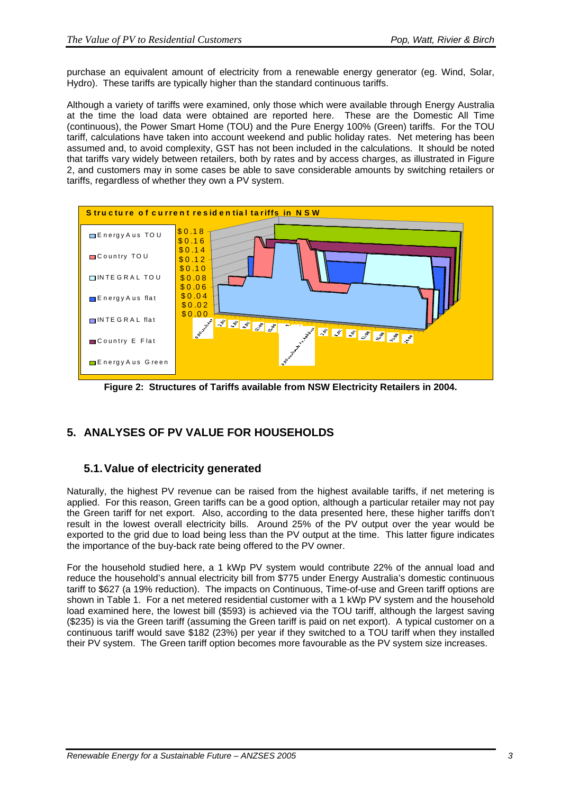purchase an equivalent amount of electricity from a renewable energy generator (eg. Wind, Solar, Hydro). These tariffs are typically higher than the standard continuous tariffs.

Although a variety of tariffs were examined, only those which were available through Energy Australia at the time the load data were obtained are reported here. These are the Domestic All Time (continuous), the Power Smart Home (TOU) and the Pure Energy 100% (Green) tariffs. For the TOU tariff, calculations have taken into account weekend and public holiday rates. Net metering has been assumed and, to avoid complexity, GST has not been included in the calculations. It should be noted that tariffs vary widely between retailers, both by rates and by access charges, as illustrated in Figure 2, and customers may in some cases be able to save considerable amounts by switching retailers or tariffs, regardless of whether they own a PV system.



**Figure 2: Structures of Tariffs available from NSW Electricity Retailers in 2004.** 

# **5. ANALYSES OF PV VALUE FOR HOUSEHOLDS**

## **5.1. Value of electricity generated**

Naturally, the highest PV revenue can be raised from the highest available tariffs, if net metering is applied. For this reason, Green tariffs can be a good option, although a particular retailer may not pay the Green tariff for net export. Also, according to the data presented here, these higher tariffs don't result in the lowest overall electricity bills. Around 25% of the PV output over the year would be exported to the grid due to load being less than the PV output at the time. This latter figure indicates the importance of the buy-back rate being offered to the PV owner.

For the household studied here, a 1 kWp PV system would contribute 22% of the annual load and reduce the household's annual electricity bill from \$775 under Energy Australia's domestic continuous tariff to \$627 (a 19% reduction). The impacts on Continuous, Time-of-use and Green tariff options are shown in Table 1. For a net metered residential customer with a 1 kWp PV system and the household load examined here, the lowest bill (\$593) is achieved via the TOU tariff, although the largest saving (\$235) is via the Green tariff (assuming the Green tariff is paid on net export). A typical customer on a continuous tariff would save \$182 (23%) per year if they switched to a TOU tariff when they installed their PV system. The Green tariff option becomes more favourable as the PV system size increases.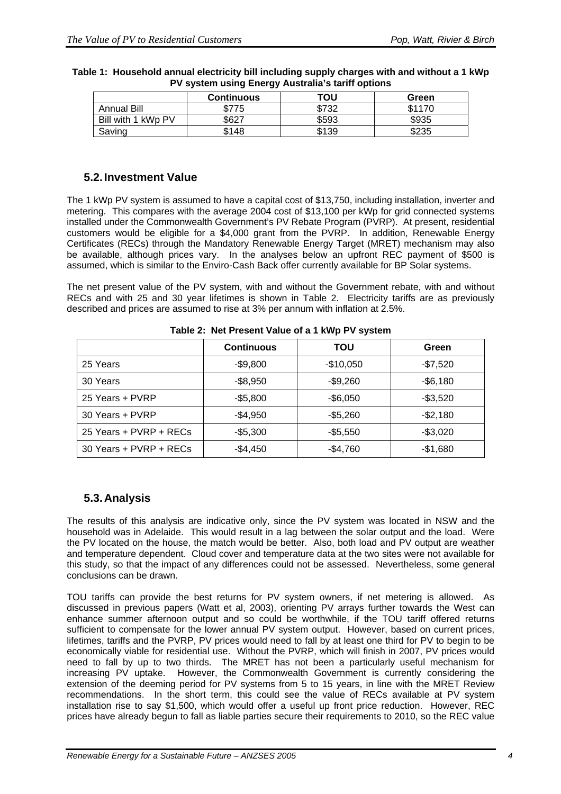|                    | <b>Continuous</b> | ΤΟυ   | Green  |
|--------------------|-------------------|-------|--------|
| <b>Annual Bill</b> | \$775             | \$732 | \$1170 |
| Bill with 1 kWp PV | \$627             | \$593 | \$935  |
| Saving             | \$148             | \$139 | \$235  |

**Table 1: Household annual electricity bill including supply charges with and without a 1 kWp PV system using Energy Australia's tariff options** 

#### **5.2. Investment Value**

The 1 kWp PV system is assumed to have a capital cost of \$13,750, including installation, inverter and metering. This compares with the average 2004 cost of \$13,100 per kWp for grid connected systems installed under the Commonwealth Government's PV Rebate Program (PVRP). At present, residential customers would be eligible for a \$4,000 grant from the PVRP. In addition, Renewable Energy Certificates (RECs) through the Mandatory Renewable Energy Target (MRET) mechanism may also be available, although prices vary. In the analyses below an upfront REC payment of \$500 is assumed, which is similar to the Enviro-Cash Back offer currently available for BP Solar systems.

The net present value of the PV system, with and without the Government rebate, with and without RECs and with 25 and 30 year lifetimes is shown in Table 2. Electricity tariffs are as previously described and prices are assumed to rise at 3% per annum with inflation at 2.5%.

|                        | <b>Continuous</b> | ΤΟυ        | Green     |
|------------------------|-------------------|------------|-----------|
| 25 Years               | $-$9,800$         | $-$10,050$ | $-$7,520$ |
| 30 Years               | $-$ \$8,950       | $-$9,260$  | $-$6,180$ |
| 25 Years + PVRP        | $-$5,800$         | $-$6,050$  | $-$3,520$ |
| 30 Years + PVRP        | $-$4,950$         | $-$5,260$  | $-$2,180$ |
| 25 Years + PVRP + RECs | $-$5,300$         | $-$5,550$  | $-$3,020$ |
| 30 Years + PVRP + RECs | $-$4,450$         | $-$4,760$  | $-$1,680$ |

**Table 2: Net Present Value of a 1 kWp PV system** 

## **5.3. Analysis**

The results of this analysis are indicative only, since the PV system was located in NSW and the household was in Adelaide. This would result in a lag between the solar output and the load. Were the PV located on the house, the match would be better. Also, both load and PV output are weather and temperature dependent. Cloud cover and temperature data at the two sites were not available for this study, so that the impact of any differences could not be assessed. Nevertheless, some general conclusions can be drawn.

TOU tariffs can provide the best returns for PV system owners, if net metering is allowed. As discussed in previous papers (Watt et al, 2003), orienting PV arrays further towards the West can enhance summer afternoon output and so could be worthwhile, if the TOU tariff offered returns sufficient to compensate for the lower annual PV system output. However, based on current prices, lifetimes, tariffs and the PVRP, PV prices would need to fall by at least one third for PV to begin to be economically viable for residential use. Without the PVRP, which will finish in 2007, PV prices would need to fall by up to two thirds. The MRET has not been a particularly useful mechanism for increasing PV uptake. However, the Commonwealth Government is currently considering the extension of the deeming period for PV systems from 5 to 15 years, in line with the MRET Review recommendations. In the short term, this could see the value of RECs available at PV system installation rise to say \$1,500, which would offer a useful up front price reduction. However, REC prices have already begun to fall as liable parties secure their requirements to 2010, so the REC value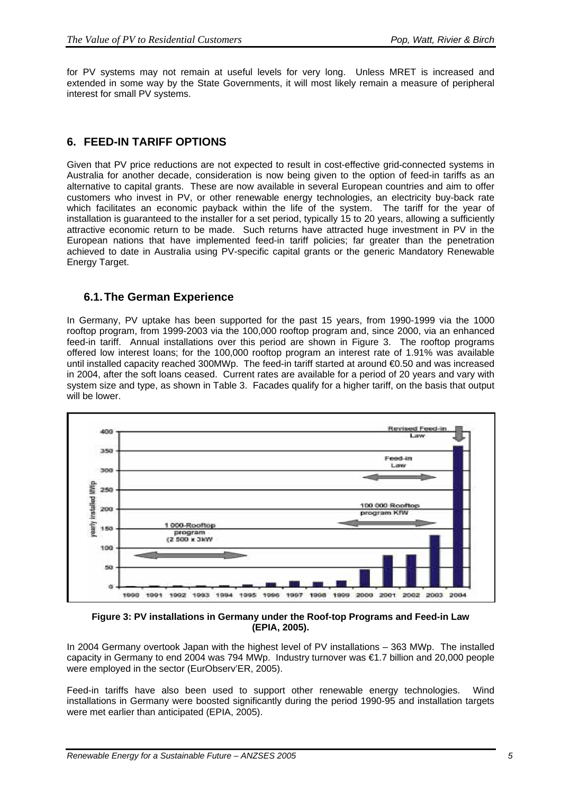for PV systems may not remain at useful levels for very long. Unless MRET is increased and extended in some way by the State Governments, it will most likely remain a measure of peripheral interest for small PV systems.

### **6. FEED-IN TARIFF OPTIONS**

Given that PV price reductions are not expected to result in cost-effective grid-connected systems in Australia for another decade, consideration is now being given to the option of feed-in tariffs as an alternative to capital grants. These are now available in several European countries and aim to offer customers who invest in PV, or other renewable energy technologies, an electricity buy-back rate which facilitates an economic payback within the life of the system. The tariff for the year of installation is guaranteed to the installer for a set period, typically 15 to 20 years, allowing a sufficiently attractive economic return to be made. Such returns have attracted huge investment in PV in the European nations that have implemented feed-in tariff policies; far greater than the penetration achieved to date in Australia using PV-specific capital grants or the generic Mandatory Renewable Energy Target.

### **6.1. The German Experience**

In Germany, PV uptake has been supported for the past 15 years, from 1990-1999 via the 1000 rooftop program, from 1999-2003 via the 100,000 rooftop program and, since 2000, via an enhanced feed-in tariff. Annual installations over this period are shown in Figure 3. The rooftop programs offered low interest loans; for the 100,000 rooftop program an interest rate of 1.91% was available until installed capacity reached 300MWp. The feed-in tariff started at around €0.50 and was increased in 2004, after the soft loans ceased. Current rates are available for a period of 20 years and vary with system size and type, as shown in Table 3. Facades qualify for a higher tariff, on the basis that output will be lower.



**Figure 3: PV installations in Germany under the Roof-top Programs and Feed-in Law (EPIA, 2005).** 

In 2004 Germany overtook Japan with the highest level of PV installations – 363 MWp. The installed capacity in Germany to end 2004 was 794 MWp. Industry turnover was €1.7 billion and 20,000 people were employed in the sector (EurObserv'ER, 2005).

Feed-in tariffs have also been used to support other renewable energy technologies. Wind installations in Germany were boosted significantly during the period 1990-95 and installation targets were met earlier than anticipated (EPIA, 2005).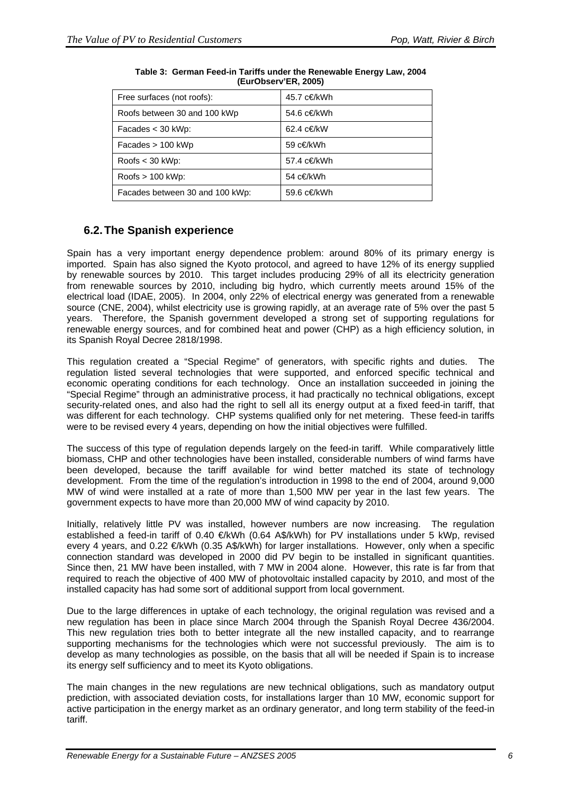| Free surfaces (not roofs):      | 45.7 c€/kWh |
|---------------------------------|-------------|
| Roofs between 30 and 100 kWp    | 54.6 c€/kWh |
| Facades $<$ 30 kWp:             | 62.4 c€/kW  |
| $Facades > 100$ kWp             | 59 c€/kWh   |
| Roofs $<$ 30 kWp:               | 57.4 c€/kWh |
| $Roots > 100$ kWp:              | 54 c€/kWh   |
| Facades between 30 and 100 kWp: | 59.6 c€/kWh |

| Table 3: German Feed-in Tariffs under the Renewable Energy Law, 2004 |
|----------------------------------------------------------------------|
| (EurObserv'ER, 2005)                                                 |

## **6.2. The Spanish experience**

Spain has a very important energy dependence problem: around 80% of its primary energy is imported. Spain has also signed the Kyoto protocol, and agreed to have 12% of its energy supplied by renewable sources by 2010. This target includes producing 29% of all its electricity generation from renewable sources by 2010, including big hydro, which currently meets around 15% of the electrical load (IDAE, 2005). In 2004, only 22% of electrical energy was generated from a renewable source (CNE, 2004), whilst electricity use is growing rapidly, at an average rate of 5% over the past 5 years. Therefore, the Spanish government developed a strong set of supporting regulations for renewable energy sources, and for combined heat and power (CHP) as a high efficiency solution, in its Spanish Royal Decree 2818/1998.

This regulation created a "Special Regime" of generators, with specific rights and duties. The regulation listed several technologies that were supported, and enforced specific technical and economic operating conditions for each technology. Once an installation succeeded in joining the "Special Regime" through an administrative process, it had practically no technical obligations, except security-related ones, and also had the right to sell all its energy output at a fixed feed-in tariff, that was different for each technology. CHP systems qualified only for net metering. These feed-in tariffs were to be revised every 4 years, depending on how the initial objectives were fulfilled.

The success of this type of regulation depends largely on the feed-in tariff. While comparatively little biomass, CHP and other technologies have been installed, considerable numbers of wind farms have been developed, because the tariff available for wind better matched its state of technology development. From the time of the regulation's introduction in 1998 to the end of 2004, around 9,000 MW of wind were installed at a rate of more than 1,500 MW per year in the last few years. The government expects to have more than 20,000 MW of wind capacity by 2010.

Initially, relatively little PV was installed, however numbers are now increasing. The regulation established a feed-in tariff of 0.40 €/kWh (0.64 A\$/kWh) for PV installations under 5 kWp, revised every 4 years, and 0.22 €/kWh (0.35 A\$/kWh) for larger installations. However, only when a specific connection standard was developed in 2000 did PV begin to be installed in significant quantities. Since then, 21 MW have been installed, with 7 MW in 2004 alone. However, this rate is far from that required to reach the objective of 400 MW of photovoltaic installed capacity by 2010, and most of the installed capacity has had some sort of additional support from local government.

Due to the large differences in uptake of each technology, the original regulation was revised and a new regulation has been in place since March 2004 through the Spanish Royal Decree 436/2004. This new regulation tries both to better integrate all the new installed capacity, and to rearrange supporting mechanisms for the technologies which were not successful previously. The aim is to develop as many technologies as possible, on the basis that all will be needed if Spain is to increase its energy self sufficiency and to meet its Kyoto obligations.

The main changes in the new regulations are new technical obligations, such as mandatory output prediction, with associated deviation costs, for installations larger than 10 MW, economic support for active participation in the energy market as an ordinary generator, and long term stability of the feed-in tariff.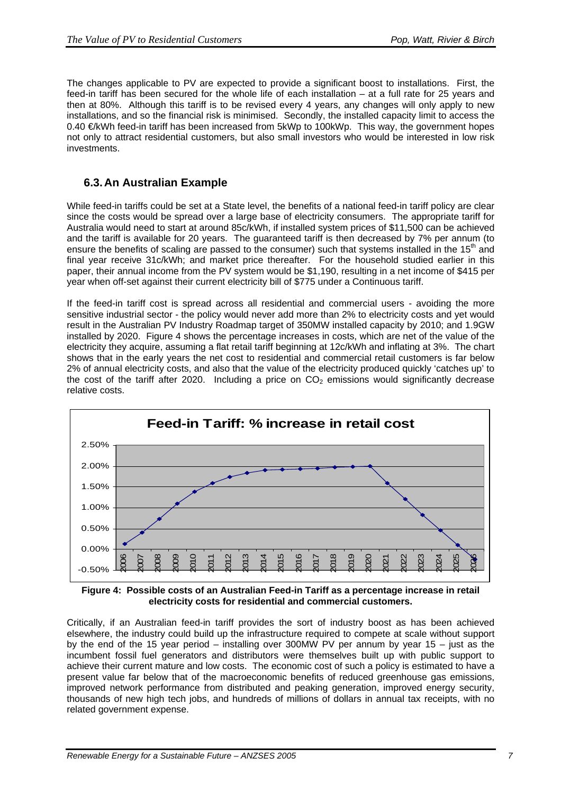The changes applicable to PV are expected to provide a significant boost to installations. First, the feed-in tariff has been secured for the whole life of each installation – at a full rate for 25 years and then at 80%. Although this tariff is to be revised every 4 years, any changes will only apply to new installations, and so the financial risk is minimised. Secondly, the installed capacity limit to access the 0.40 €/kWh feed-in tariff has been increased from 5kWp to 100kWp. This way, the government hopes not only to attract residential customers, but also small investors who would be interested in low risk investments.

### **6.3. An Australian Example**

While feed-in tariffs could be set at a State level, the benefits of a national feed-in tariff policy are clear since the costs would be spread over a large base of electricity consumers. The appropriate tariff for Australia would need to start at around 85c/kWh, if installed system prices of \$11,500 can be achieved and the tariff is available for 20 years. The guaranteed tariff is then decreased by 7% per annum (to ensure the benefits of scaling are passed to the consumer) such that systems installed in the 15<sup>th</sup> and final year receive 31c/kWh; and market price thereafter. For the household studied earlier in this paper, their annual income from the PV system would be \$1,190, resulting in a net income of \$415 per year when off-set against their current electricity bill of \$775 under a Continuous tariff.

If the feed-in tariff cost is spread across all residential and commercial users - avoiding the more sensitive industrial sector - the policy would never add more than 2% to electricity costs and yet would result in the Australian PV Industry Roadmap target of 350MW installed capacity by 2010; and 1.9GW installed by 2020. Figure 4 shows the percentage increases in costs, which are net of the value of the electricity they acquire, assuming a flat retail tariff beginning at 12c/kWh and inflating at 3%. The chart shows that in the early years the net cost to residential and commercial retail customers is far below 2% of annual electricity costs, and also that the value of the electricity produced quickly 'catches up' to the cost of the tariff after 2020. Including a price on  $CO<sub>2</sub>$  emissions would significantly decrease relative costs.



**Figure 4: Possible costs of an Australian Feed-in Tariff as a percentage increase in retail electricity costs for residential and commercial customers.** 

Critically, if an Australian feed-in tariff provides the sort of industry boost as has been achieved elsewhere, the industry could build up the infrastructure required to compete at scale without support by the end of the 15 year period – installing over 300MW PV per annum by year 15 – just as the incumbent fossil fuel generators and distributors were themselves built up with public support to achieve their current mature and low costs. The economic cost of such a policy is estimated to have a present value far below that of the macroeconomic benefits of reduced greenhouse gas emissions, improved network performance from distributed and peaking generation, improved energy security, thousands of new high tech jobs, and hundreds of millions of dollars in annual tax receipts, with no related government expense.